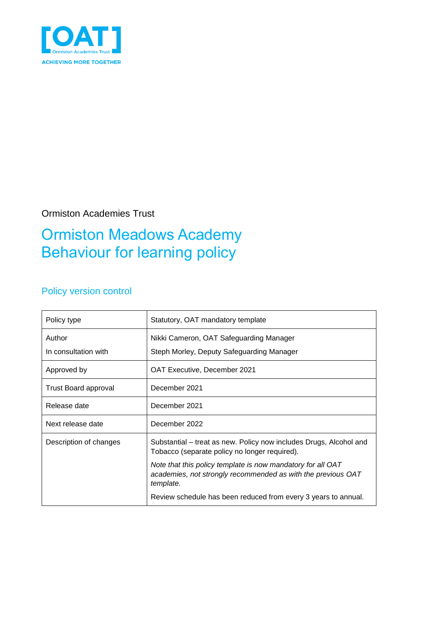

Ormiston Academies Trust

## Ormiston Meadows Academy Behaviour for learning policy

### Policy version control

| Policy type                 | Statutory, OAT mandatory template                                                                                                        |
|-----------------------------|------------------------------------------------------------------------------------------------------------------------------------------|
| Author                      | Nikki Cameron, OAT Safeguarding Manager                                                                                                  |
| In consultation with        | Steph Morley, Deputy Safeguarding Manager                                                                                                |
| Approved by                 | OAT Executive, December 2021                                                                                                             |
| <b>Trust Board approval</b> | December 2021                                                                                                                            |
| Release date                | December 2021                                                                                                                            |
| Next release date           | December 2022                                                                                                                            |
| Description of changes      | Substantial – treat as new. Policy now includes Drugs, Alcohol and<br>Tobacco (separate policy no longer required).                      |
|                             | Note that this policy template is now mandatory for all OAT<br>academies, not strongly recommended as with the previous OAT<br>template. |
|                             | Review schedule has been reduced from every 3 years to annual.                                                                           |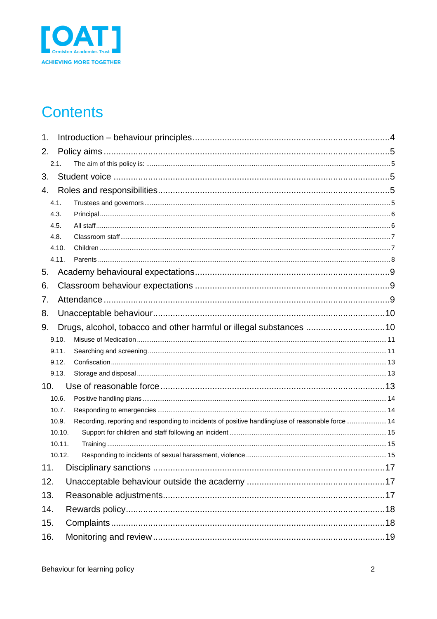

## **Contents**

| 1.  |                                                                    |                                                                                                  |  |  |  |  |
|-----|--------------------------------------------------------------------|--------------------------------------------------------------------------------------------------|--|--|--|--|
| 2.  |                                                                    |                                                                                                  |  |  |  |  |
|     | 2.1.                                                               |                                                                                                  |  |  |  |  |
| 3.  |                                                                    |                                                                                                  |  |  |  |  |
| 4.  |                                                                    |                                                                                                  |  |  |  |  |
|     | 4.1.                                                               |                                                                                                  |  |  |  |  |
|     | 4.3.                                                               |                                                                                                  |  |  |  |  |
|     | 4.5.                                                               |                                                                                                  |  |  |  |  |
|     | 4.8.                                                               |                                                                                                  |  |  |  |  |
|     | 4.10.                                                              |                                                                                                  |  |  |  |  |
|     | 4.11.                                                              |                                                                                                  |  |  |  |  |
| 5.  |                                                                    |                                                                                                  |  |  |  |  |
| 6.  |                                                                    |                                                                                                  |  |  |  |  |
| 7.  |                                                                    |                                                                                                  |  |  |  |  |
| 8.  |                                                                    |                                                                                                  |  |  |  |  |
| 9.  | Drugs, alcohol, tobacco and other harmful or illegal substances 10 |                                                                                                  |  |  |  |  |
|     | 9.10.                                                              |                                                                                                  |  |  |  |  |
|     | 9.11.                                                              |                                                                                                  |  |  |  |  |
|     | 9.12.                                                              |                                                                                                  |  |  |  |  |
|     | 9.13.                                                              |                                                                                                  |  |  |  |  |
| 10. |                                                                    |                                                                                                  |  |  |  |  |
|     | 10.6.                                                              |                                                                                                  |  |  |  |  |
|     | 10.7.                                                              |                                                                                                  |  |  |  |  |
|     | 10.9.                                                              | Recording, reporting and responding to incidents of positive handling/use of reasonable force 14 |  |  |  |  |
|     | 10.10.                                                             |                                                                                                  |  |  |  |  |
|     | 10.11.                                                             |                                                                                                  |  |  |  |  |
|     | 10.12.                                                             |                                                                                                  |  |  |  |  |
| 11. |                                                                    |                                                                                                  |  |  |  |  |
| 12. |                                                                    |                                                                                                  |  |  |  |  |
| 13. |                                                                    |                                                                                                  |  |  |  |  |
| 14. |                                                                    |                                                                                                  |  |  |  |  |
| 15. |                                                                    |                                                                                                  |  |  |  |  |
| 16. |                                                                    |                                                                                                  |  |  |  |  |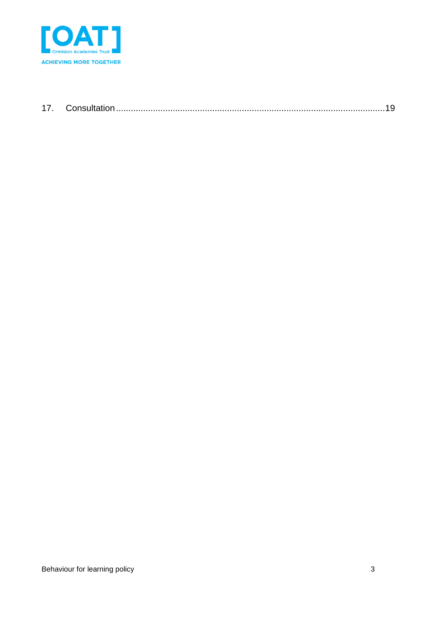

| 17 |  |
|----|--|
|    |  |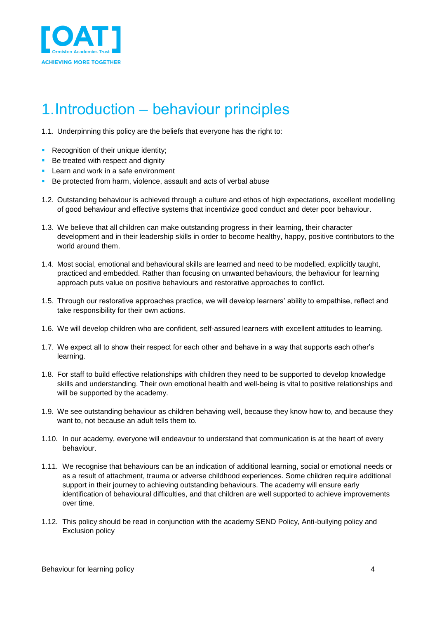

## <span id="page-3-0"></span>1.Introduction – behaviour principles

1.1. Underpinning this policy are the beliefs that everyone has the right to:

- **Recognition of their unique identity;**
- Be treated with respect and dignity
- **Learn and work in a safe environment**
- Be protected from harm, violence, assault and acts of verbal abuse
- 1.2. Outstanding behaviour is achieved through a culture and ethos of high expectations, excellent modelling of good behaviour and effective systems that incentivize good conduct and deter poor behaviour.
- 1.3. We believe that all children can make outstanding progress in their learning, their character development and in their leadership skills in order to become healthy, happy, positive contributors to the world around them.
- 1.4. Most social, emotional and behavioural skills are learned and need to be modelled, explicitly taught, practiced and embedded. Rather than focusing on unwanted behaviours, the behaviour for learning approach puts value on positive behaviours and restorative approaches to conflict.
- 1.5. Through our restorative approaches practice, we will develop learners' ability to empathise, reflect and take responsibility for their own actions.
- 1.6. We will develop children who are confident, self-assured learners with excellent attitudes to learning.
- 1.7. We expect all to show their respect for each other and behave in a way that supports each other's learning.
- 1.8. For staff to build effective relationships with children they need to be supported to develop knowledge skills and understanding. Their own emotional health and well-being is vital to positive relationships and will be supported by the academy.
- 1.9. We see outstanding behaviour as children behaving well, because they know how to, and because they want to, not because an adult tells them to.
- 1.10. In our academy, everyone will endeavour to understand that communication is at the heart of every behaviour.
- 1.11. We recognise that behaviours can be an indication of additional learning, social or emotional needs or as a result of attachment, trauma or adverse childhood experiences. Some children require additional support in their journey to achieving outstanding behaviours. The academy will ensure early identification of behavioural difficulties, and that children are well supported to achieve improvements over time.
- 1.12. This policy should be read in conjunction with the academy SEND Policy, Anti-bullying policy and Exclusion policy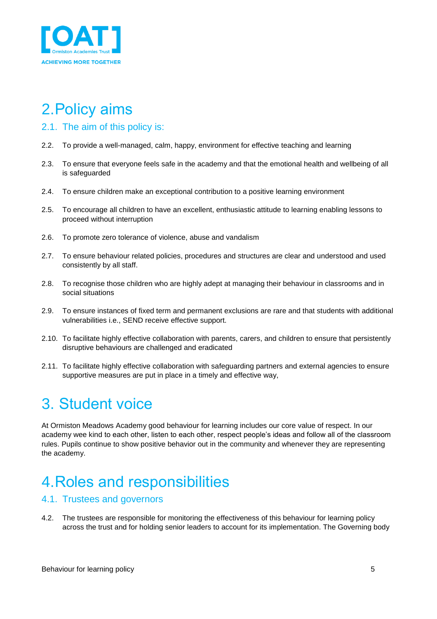

# <span id="page-4-0"></span>2.Policy aims

- <span id="page-4-1"></span>2.1. The aim of this policy is:
- 2.2. To provide a well-managed, calm, happy, environment for effective teaching and learning
- 2.3. To ensure that everyone feels safe in the academy and that the emotional health and wellbeing of all is safeguarded
- 2.4. To ensure children make an exceptional contribution to a positive learning environment
- 2.5. To encourage all children to have an excellent, enthusiastic attitude to learning enabling lessons to proceed without interruption
- 2.6. To promote zero tolerance of violence, abuse and vandalism
- 2.7. To ensure behaviour related policies, procedures and structures are clear and understood and used consistently by all staff.
- 2.8. To recognise those children who are highly adept at managing their behaviour in classrooms and in social situations
- 2.9. To ensure instances of fixed term and permanent exclusions are rare and that students with additional vulnerabilities i.e., SEND receive effective support.
- 2.10. To facilitate highly effective collaboration with parents, carers, and children to ensure that persistently disruptive behaviours are challenged and eradicated
- 2.11. To facilitate highly effective collaboration with safeguarding partners and external agencies to ensure supportive measures are put in place in a timely and effective way,

## <span id="page-4-2"></span>3. Student voice

At Ormiston Meadows Academy good behaviour for learning includes our core value of respect. In our academy wee kind to each other, listen to each other, respect people's ideas and follow all of the classroom rules. Pupils continue to show positive behavior out in the community and whenever they are representing the academy.

## <span id="page-4-3"></span>4.Roles and responsibilities

#### <span id="page-4-4"></span>4.1. Trustees and governors

4.2. The trustees are responsible for monitoring the effectiveness of this behaviour for learning policy across the trust and for holding senior leaders to account for its implementation. The Governing body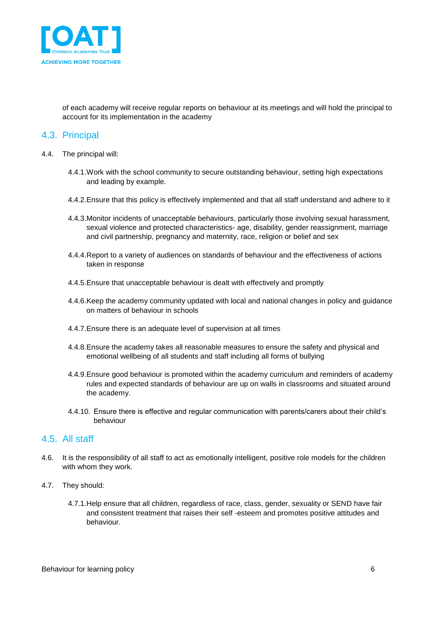

of each academy will receive regular reports on behaviour at its meetings and will hold the principal to account for its implementation in the academy

#### <span id="page-5-0"></span>4.3. Principal

- 4.4. The principal will:
	- 4.4.1.Work with the school community to secure outstanding behaviour, setting high expectations and leading by example.
	- 4.4.2.Ensure that this policy is effectively implemented and that all staff understand and adhere to it
	- 4.4.3.Monitor incidents of unacceptable behaviours, particularly those involving sexual harassment, sexual violence and protected characteristics- age, disability, gender reassignment, marriage and civil partnership, pregnancy and maternity, race, religion or belief and sex
	- 4.4.4.Report to a variety of audiences on standards of behaviour and the effectiveness of actions taken in response
	- 4.4.5.Ensure that unacceptable behaviour is dealt with effectively and promptly
	- 4.4.6.Keep the academy community updated with local and national changes in policy and guidance on matters of behaviour in schools
	- 4.4.7.Ensure there is an adequate level of supervision at all times
	- 4.4.8.Ensure the academy takes all reasonable measures to ensure the safety and physical and emotional wellbeing of all students and staff including all forms of bullying
	- 4.4.9.Ensure good behaviour is promoted within the academy curriculum and reminders of academy rules and expected standards of behaviour are up on walls in classrooms and situated around the academy.
	- 4.4.10. Ensure there is effective and regular communication with parents/carers about their child's behaviour

#### <span id="page-5-1"></span>4.5. All staff

- 4.6. It is the responsibility of all staff to act as emotionally intelligent, positive role models for the children with whom they work.
- 4.7. They should:
	- 4.7.1.Help ensure that all children, regardless of race, class, gender, sexuality or SEND have fair and consistent treatment that raises their self -esteem and promotes positive attitudes and behaviour.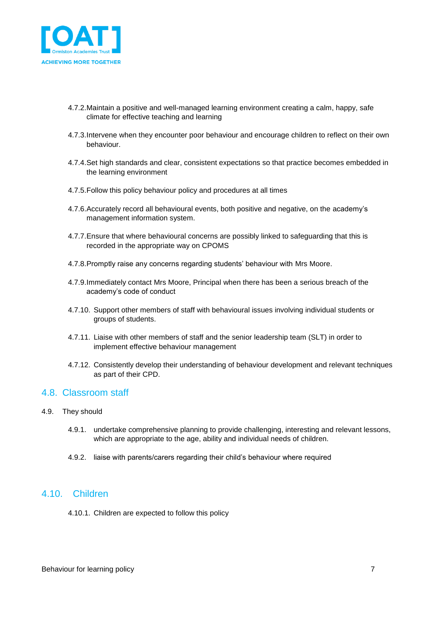

- 4.7.2.Maintain a positive and well-managed learning environment creating a calm, happy, safe climate for effective teaching and learning
- 4.7.3.Intervene when they encounter poor behaviour and encourage children to reflect on their own behaviour.
- 4.7.4.Set high standards and clear, consistent expectations so that practice becomes embedded in the learning environment
- 4.7.5.Follow this policy behaviour policy and procedures at all times
- 4.7.6.Accurately record all behavioural events, both positive and negative, on the academy's management information system.
- 4.7.7.Ensure that where behavioural concerns are possibly linked to safeguarding that this is recorded in the appropriate way on CPOMS
- 4.7.8.Promptly raise any concerns regarding students' behaviour with Mrs Moore.
- 4.7.9.Immediately contact Mrs Moore, Principal when there has been a serious breach of the academy's code of conduct
- 4.7.10. Support other members of staff with behavioural issues involving individual students or groups of students.
- 4.7.11. Liaise with other members of staff and the senior leadership team (SLT) in order to implement effective behaviour management
- 4.7.12. Consistently develop their understanding of behaviour development and relevant techniques as part of their CPD.

#### <span id="page-6-0"></span>4.8. Classroom staff

#### 4.9. They should

- 4.9.1. undertake comprehensive planning to provide challenging, interesting and relevant lessons, which are appropriate to the age, ability and individual needs of children.
- 4.9.2. liaise with parents/carers regarding their child's behaviour where required

#### <span id="page-6-1"></span>4.10. Children

4.10.1. Children are expected to follow this policy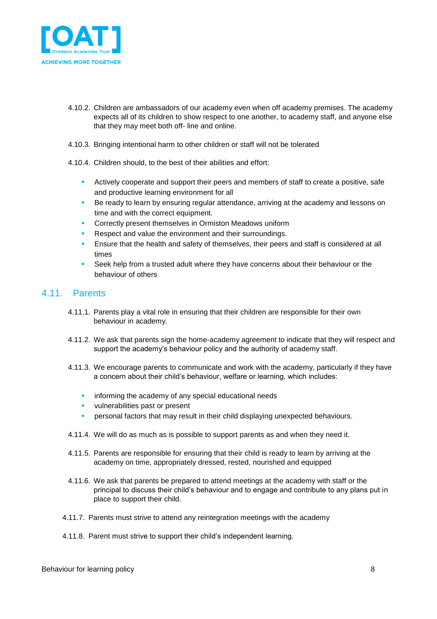

- 4.10.2. Children are ambassadors of our academy even when off academy premises. The academy expects all of its children to show respect to one another, to academy staff, and anyone else that they may meet both off- line and online.
- 4.10.3. Bringing intentional harm to other children or staff will not be tolerated
- 4.10.4. Children should, to the best of their abilities and effort:
	- Actively cooperate and support their peers and members of staff to create a positive, safe and productive learning environment for all
	- Be ready to learn by ensuring regular attendance, arriving at the academy and lessons on time and with the correct equipment.
	- Correctly present themselves in Ormiston Meadows uniform
	- Respect and value the environment and their surroundings.
	- Ensure that the health and safety of themselves, their peers and staff is considered at all times
	- Seek help from a trusted adult where they have concerns about their behaviour or the behaviour of others

#### <span id="page-7-0"></span>4.11. Parents

- 4.11.1. Parents play a vital role in ensuring that their children are responsible for their own behaviour in academy.
- 4.11.2. We ask that parents sign the home-academy agreement to indicate that they will respect and support the academy's behaviour policy and the authority of academy staff.
- 4.11.3. We encourage parents to communicate and work with the academy, particularly if they have a concern about their child's behaviour, welfare or learning, which includes:
	- informing the academy of any special educational needs
	- vulnerabilities past or present
	- personal factors that may result in their child displaying unexpected behaviours.
- 4.11.4. We will do as much as is possible to support parents as and when they need it.
- 4.11.5. Parents are responsible for ensuring that their child is ready to learn by arriving at the academy on time, appropriately dressed, rested, nourished and equipped
- 4.11.6. We ask that parents be prepared to attend meetings at the academy with staff or the principal to discuss their child's behaviour and to engage and contribute to any plans put in place to support their child.
- 4.11.7. Parents must strive to attend any reintegration meetings with the academy
- 4.11.8. Parent must strive to support their child's independent learning.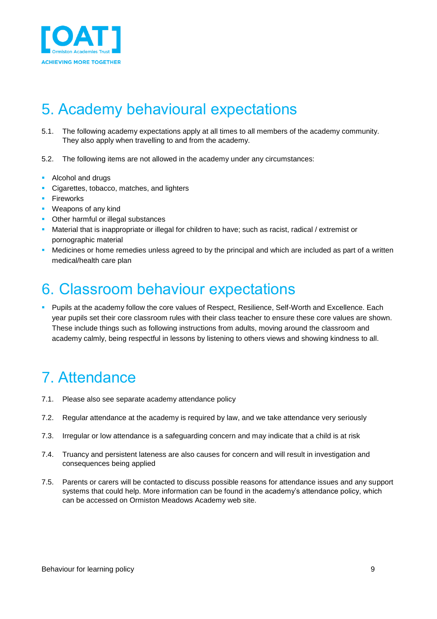

## <span id="page-8-0"></span>5. Academy behavioural expectations

- 5.1. The following academy expectations apply at all times to all members of the academy community. They also apply when travelling to and from the academy.
- 5.2. The following items are not allowed in the academy under any circumstances:
- **Alcohol and drugs**
- Cigarettes, tobacco, matches, and lighters
- **Fireworks**
- **Weapons of any kind**
- Other harmful or illegal substances
- Material that is inappropriate or illegal for children to have; such as racist, radical / extremist or pornographic material
- Medicines or home remedies unless agreed to by the principal and which are included as part of a written medical/health care plan

### <span id="page-8-1"></span>6. Classroom behaviour expectations

**Pupils at the academy follow the core values of Respect, Resilience, Self-Worth and Excellence. Each** year pupils set their core classroom rules with their class teacher to ensure these core values are shown. These include things such as following instructions from adults, moving around the classroom and academy calmly, being respectful in lessons by listening to others views and showing kindness to all.

## <span id="page-8-2"></span>7. Attendance

- 7.1. Please also see separate academy attendance policy
- 7.2. Regular attendance at the academy is required by law, and we take attendance very seriously
- 7.3. Irregular or low attendance is a safeguarding concern and may indicate that a child is at risk
- 7.4. Truancy and persistent lateness are also causes for concern and will result in investigation and consequences being applied
- 7.5. Parents or carers will be contacted to discuss possible reasons for attendance issues and any support systems that could help. More information can be found in the academy's attendance policy, which can be accessed on Ormiston Meadows Academy web site.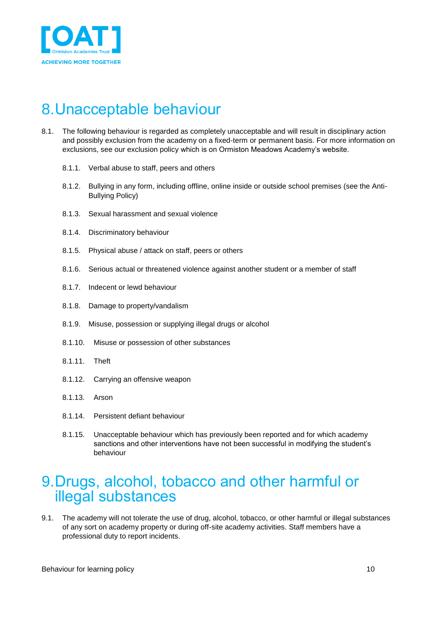

## <span id="page-9-0"></span>8.Unacceptable behaviour

- 8.1. The following behaviour is regarded as completely unacceptable and will result in disciplinary action and possibly exclusion from the academy on a fixed-term or permanent basis. For more information on exclusions, see our exclusion policy which is on Ormiston Meadows Academy's website.
	- 8.1.1. Verbal abuse to staff, peers and others
	- 8.1.2. Bullying in any form, including offline, online inside or outside school premises (see the Anti-Bullying Policy)
	- 8.1.3. Sexual harassment and sexual violence
	- 8.1.4. Discriminatory behaviour
	- 8.1.5. Physical abuse / attack on staff, peers or others
	- 8.1.6. Serious actual or threatened violence against another student or a member of staff
	- 8.1.7. Indecent or lewd behaviour
	- 8.1.8. Damage to property/vandalism
	- 8.1.9. Misuse, possession or supplying illegal drugs or alcohol
	- 8.1.10. Misuse or possession of other substances
	- 8.1.11. Theft
	- 8.1.12. Carrying an offensive weapon
	- 8.1.13. Arson
	- 8.1.14. Persistent defiant behaviour
	- 8.1.15. Unacceptable behaviour which has previously been reported and for which academy sanctions and other interventions have not been successful in modifying the student's behaviour

### <span id="page-9-1"></span>9.Drugs, alcohol, tobacco and other harmful or illegal substances

9.1. The academy will not tolerate the use of drug, alcohol, tobacco, or other harmful or illegal substances of any sort on academy property or during off-site academy activities. Staff members have a professional duty to report incidents.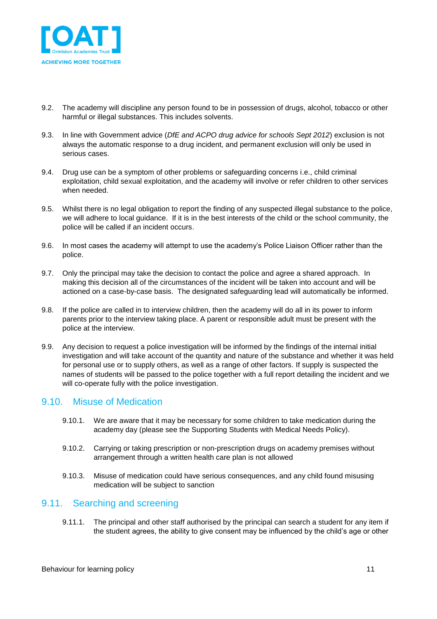

- 9.2. The academy will discipline any person found to be in possession of drugs, alcohol, tobacco or other harmful or illegal substances. This includes solvents.
- 9.3. In line with Government advice (*DfE and ACPO drug advice for schools Sept 2012*) exclusion is not always the automatic response to a drug incident, and permanent exclusion will only be used in serious cases.
- 9.4. Drug use can be a symptom of other problems or safeguarding concerns i.e., child criminal exploitation, child sexual exploitation, and the academy will involve or refer children to other services when needed.
- 9.5. Whilst there is no legal obligation to report the finding of any suspected illegal substance to the police, we will adhere to local guidance. If it is in the best interests of the child or the school community, the police will be called if an incident occurs.
- 9.6. In most cases the academy will attempt to use the academy's Police Liaison Officer rather than the police.
- 9.7. Only the principal may take the decision to contact the police and agree a shared approach. In making this decision all of the circumstances of the incident will be taken into account and will be actioned on a case-by-case basis. The designated safeguarding lead will automatically be informed.
- 9.8. If the police are called in to interview children, then the academy will do all in its power to inform parents prior to the interview taking place. A parent or responsible adult must be present with the police at the interview.
- 9.9. Any decision to request a police investigation will be informed by the findings of the internal initial investigation and will take account of the quantity and nature of the substance and whether it was held for personal use or to supply others, as well as a range of other factors. If supply is suspected the names of students will be passed to the police together with a full report detailing the incident and we will co-operate fully with the police investigation.

#### <span id="page-10-0"></span>9.10. Misuse of Medication

- 9.10.1. We are aware that it may be necessary for some children to take medication during the academy day (please see the Supporting Students with Medical Needs Policy).
- 9.10.2. Carrying or taking prescription or non-prescription drugs on academy premises without arrangement through a written health care plan is not allowed
- 9.10.3. Misuse of medication could have serious consequences, and any child found misusing medication will be subject to sanction

#### <span id="page-10-1"></span>9.11. Searching and screening

9.11.1. The principal and other staff authorised by the principal can search a student for any item if the student agrees, the ability to give consent may be influenced by the child's age or other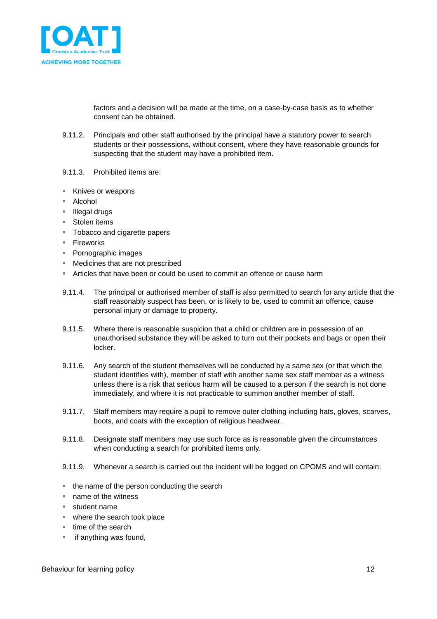

factors and a decision will be made at the time, on a case-by-case basis as to whether consent can be obtained.

- 9.11.2. Principals and other staff authorised by the principal have a statutory power to search students or their possessions, without consent, where they have reasonable grounds for suspecting that the student may have a prohibited item.
- 9.11.3. Prohibited items are:
- Knives or weapons
- Alcohol
- Illegal drugs
- Stolen items
- **Tobacco and cigarette papers**
- Fireworks
- Pornographic images
- Medicines that are not prescribed
- Articles that have been or could be used to commit an offence or cause harm
- 9.11.4. The principal or authorised member of staff is also permitted to search for any article that the staff reasonably suspect has been, or is likely to be, used to commit an offence, cause personal injury or damage to property.
- 9.11.5. Where there is reasonable suspicion that a child or children are in possession of an unauthorised substance they will be asked to turn out their pockets and bags or open their locker.
- 9.11.6. Any search of the student themselves will be conducted by a same sex (or that which the student identifies with), member of staff with another same sex staff member as a witness unless there is a risk that serious harm will be caused to a person if the search is not done immediately, and where it is not practicable to summon another member of staff.
- 9.11.7. Staff members may require a pupil to remove outer clothing including hats, gloves, scarves, boots, and coats with the exception of religious headwear.
- 9.11.8. Designate staff members may use such force as is reasonable given the circumstances when conducting a search for prohibited items only.
- 9.11.9. Whenever a search is carried out the incident will be logged on CPOMS and will contain:
- the name of the person conducting the search
- name of the witness
- student name
- where the search took place
- $\blacksquare$  time of the search
- $\blacksquare$  if anything was found,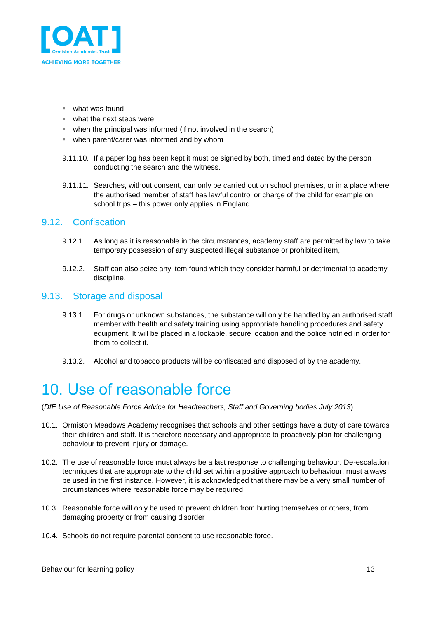

- what was found
- what the next steps were
- when the principal was informed (if not involved in the search)
- when parent/carer was informed and by whom
- 9.11.10. If a paper log has been kept it must be signed by both, timed and dated by the person conducting the search and the witness.
- 9.11.11. Searches, without consent, can only be carried out on school premises, or in a place where the authorised member of staff has lawful control or charge of the child for example on school trips – this power only applies in England

#### <span id="page-12-0"></span>9.12. Confiscation

- 9.12.1. As long as it is reasonable in the circumstances, academy staff are permitted by law to take temporary possession of any suspected illegal substance or prohibited item,
- 9.12.2. Staff can also seize any item found which they consider harmful or detrimental to academy discipline.

#### <span id="page-12-1"></span>9.13. Storage and disposal

- 9.13.1. For drugs or unknown substances, the substance will only be handled by an authorised staff member with health and safety training using appropriate handling procedures and safety equipment. It will be placed in a lockable, secure location and the police notified in order for them to collect it.
- 9.13.2. Alcohol and tobacco products will be confiscated and disposed of by the academy.

## <span id="page-12-2"></span>10. Use of reasonable force

(*DfE Use of Reasonable Force Advice for Headteachers, Staff and Governing bodies July 2013*)

- 10.1. Ormiston Meadows Academy recognises that schools and other settings have a duty of care towards their children and staff. It is therefore necessary and appropriate to proactively plan for challenging behaviour to prevent injury or damage.
- 10.2. The use of reasonable force must always be a last response to challenging behaviour. De-escalation techniques that are appropriate to the child set within a positive approach to behaviour, must always be used in the first instance. However, it is acknowledged that there may be a very small number of circumstances where reasonable force may be required
- 10.3. Reasonable force will only be used to prevent children from hurting themselves or others, from damaging property or from causing disorder
- 10.4. Schools do not require parental consent to use reasonable force.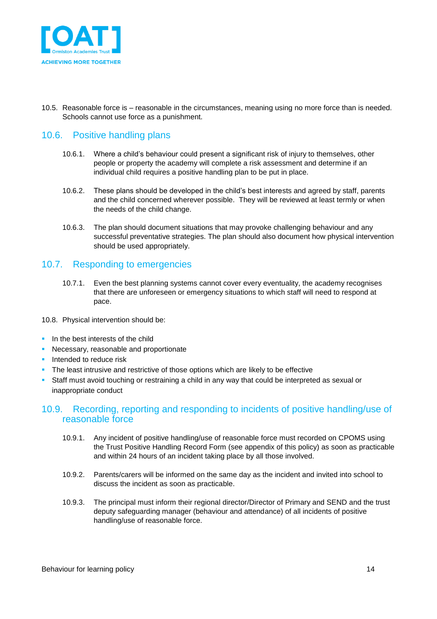

10.5. Reasonable force is – reasonable in the circumstances, meaning using no more force than is needed. Schools cannot use force as a punishment.

### <span id="page-13-0"></span>10.6. Positive handling plans

- 10.6.1. Where a child's behaviour could present a significant risk of injury to themselves, other people or property the academy will complete a risk assessment and determine if an individual child requires a positive handling plan to be put in place.
- 10.6.2. These plans should be developed in the child's best interests and agreed by staff, parents and the child concerned wherever possible. They will be reviewed at least termly or when the needs of the child change.
- 10.6.3. The plan should document situations that may provoke challenging behaviour and any successful preventative strategies. The plan should also document how physical intervention should be used appropriately.

### <span id="page-13-1"></span>10.7. Responding to emergencies

- 10.7.1. Even the best planning systems cannot cover every eventuality, the academy recognises that there are unforeseen or emergency situations to which staff will need to respond at pace.
- 10.8. Physical intervention should be:
- $\blacksquare$  In the best interests of the child
- **Necessary, reasonable and proportionate**
- **Intended to reduce risk**
- The least intrusive and restrictive of those options which are likely to be effective
- Staff must avoid touching or restraining a child in any way that could be interpreted as sexual or inappropriate conduct

#### <span id="page-13-2"></span>10.9. Recording, reporting and responding to incidents of positive handling/use of reasonable force

- 10.9.1. Any incident of positive handling/use of reasonable force must recorded on CPOMS using the Trust Positive Handling Record Form (see appendix of this policy) as soon as practicable and within 24 hours of an incident taking place by all those involved.
- 10.9.2. Parents/carers will be informed on the same day as the incident and invited into school to discuss the incident as soon as practicable.
- 10.9.3. The principal must inform their regional director/Director of Primary and SEND and the trust deputy safeguarding manager (behaviour and attendance) of all incidents of positive handling/use of reasonable force.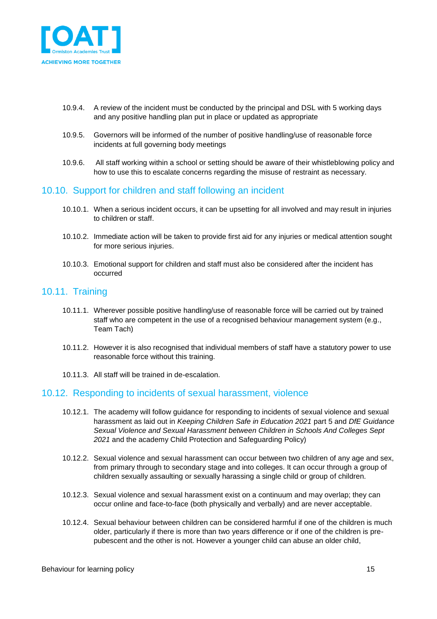

- 10.9.4. A review of the incident must be conducted by the principal and DSL with 5 working days and any positive handling plan put in place or updated as appropriate
- 10.9.5. Governors will be informed of the number of positive handling/use of reasonable force incidents at full governing body meetings
- 10.9.6. All staff working within a school or setting should be aware of their whistleblowing policy and how to use this to escalate concerns regarding the misuse of restraint as necessary.

#### <span id="page-14-0"></span>10.10. Support for children and staff following an incident

- 10.10.1. When a serious incident occurs, it can be upsetting for all involved and may result in injuries to children or staff.
- 10.10.2. Immediate action will be taken to provide first aid for any injuries or medical attention sought for more serious injuries.
- 10.10.3. Emotional support for children and staff must also be considered after the incident has occurred

#### <span id="page-14-1"></span>10.11. Training

- 10.11.1. Wherever possible positive handling/use of reasonable force will be carried out by trained staff who are competent in the use of a recognised behaviour management system (e.g., Team Tach)
- 10.11.2. However it is also recognised that individual members of staff have a statutory power to use reasonable force without this training.
- 10.11.3. All staff will be trained in de-escalation.

#### <span id="page-14-2"></span>10.12. Responding to incidents of sexual harassment, violence

- 10.12.1. The academy will follow guidance for responding to incidents of sexual violence and sexual harassment as laid out in *Keeping Children Safe in Education 2021* part 5 and *DfE Guidance Sexual Violence and Sexual Harassment between Children in Schools And Colleges Sept 2021* and the academy Child Protection and Safeguarding Policy)
- 10.12.2. Sexual violence and sexual harassment can occur between two children of any age and sex, from primary through to secondary stage and into colleges. It can occur through a group of children sexually assaulting or sexually harassing a single child or group of children.
- 10.12.3. Sexual violence and sexual harassment exist on a continuum and may overlap; they can occur online and face-to-face (both physically and verbally) and are never acceptable.
- 10.12.4. Sexual behaviour between children can be considered harmful if one of the children is much older, particularly if there is more than two years difference or if one of the children is prepubescent and the other is not. However a younger child can abuse an older child,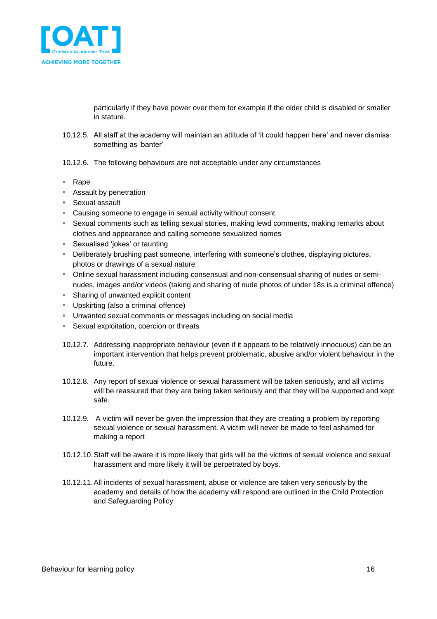

particularly if they have power over them for example if the older child is disabled or smaller in stature.

- 10.12.5. All staff at the academy will maintain an attitude of 'it could happen here' and never dismiss something as 'banter'
- 10.12.6. The following behaviours are not acceptable under any circumstances
- Rape
- **Assault by penetration**
- Sexual assault
- Causing someone to engage in sexual activity without consent
- Sexual comments such as telling sexual stories, making lewd comments, making remarks about clothes and appearance and calling someone sexualized names
- Sexualised 'jokes' or taunting
- **Deliberately brushing past someone, interfering with someone's clothes, displaying pictures,** photos or drawings of a sexual nature
- Online sexual harassment including consensual and non-consensual sharing of nudes or seminudes, images and/or videos (taking and sharing of nude photos of under 18s is a criminal offence)
- **Sharing of unwanted explicit content**
- **Upskirting (also a criminal offence)**
- Unwanted sexual comments or messages including on social media
- **Sexual exploitation, coercion or threats**
- 10.12.7. Addressing inappropriate behaviour (even if it appears to be relatively innocuous) can be an important intervention that helps prevent problematic, abusive and/or violent behaviour in the future.
- 10.12.8. Any report of sexual violence or sexual harassment will be taken seriously, and all victims will be reassured that they are being taken seriously and that they will be supported and kept safe.
- 10.12.9. A victim will never be given the impression that they are creating a problem by reporting sexual violence or sexual harassment. A victim will never be made to feel ashamed for making a report
- 10.12.10.Staff will be aware it is more likely that girls will be the victims of sexual violence and sexual harassment and more likely it will be perpetrated by boys.
- 10.12.11.All incidents of sexual harassment, abuse or violence are taken very seriously by the academy and details of how the academy will respond are outlined in the Child Protection and Safeguarding Policy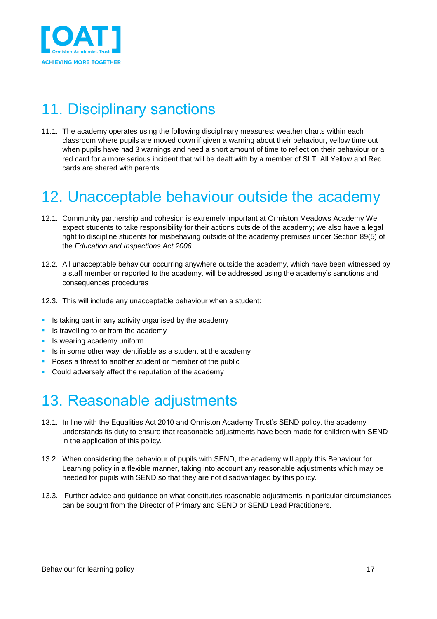

# <span id="page-16-0"></span>11. Disciplinary sanctions

11.1. The academy operates using the following disciplinary measures: weather charts within each classroom where pupils are moved down if given a warning about their behaviour, yellow time out when pupils have had 3 warnings and need a short amount of time to reflect on their behaviour or a red card for a more serious incident that will be dealt with by a member of SLT. All Yellow and Red cards are shared with parents.

## <span id="page-16-1"></span>12. Unacceptable behaviour outside the academy

- 12.1. Community partnership and cohesion is extremely important at Ormiston Meadows Academy We expect students to take responsibility for their actions outside of the academy; we also have a legal right to discipline students for misbehaving outside of the academy premises under Section 89(5) of the *Education and Inspections Act 2006.*
- 12.2. All unacceptable behaviour occurring anywhere outside the academy, which have been witnessed by a staff member or reported to the academy, will be addressed using the academy's sanctions and consequences procedures
- 12.3. This will include any unacceptable behaviour when a student:
- **Is taking part in any activity organised by the academy**
- Is travelling to or from the academy
- **In Its wearing academy uniform**
- $\blacksquare$  Is in some other way identifiable as a student at the academy
- **Poses a threat to another student or member of the public**
- **Could adversely affect the reputation of the academy**

## <span id="page-16-2"></span>13. Reasonable adjustments

- 13.1. In line with the Equalities Act 2010 and Ormiston Academy Trust's SEND policy, the academy understands its duty to ensure that reasonable adjustments have been made for children with SEND in the application of this policy.
- 13.2. When considering the behaviour of pupils with SEND, the academy will apply this Behaviour for Learning policy in a flexible manner, taking into account any reasonable adjustments which may be needed for pupils with SEND so that they are not disadvantaged by this policy.
- 13.3. Further advice and guidance on what constitutes reasonable adjustments in particular circumstances can be sought from the Director of Primary and SEND or SEND Lead Practitioners.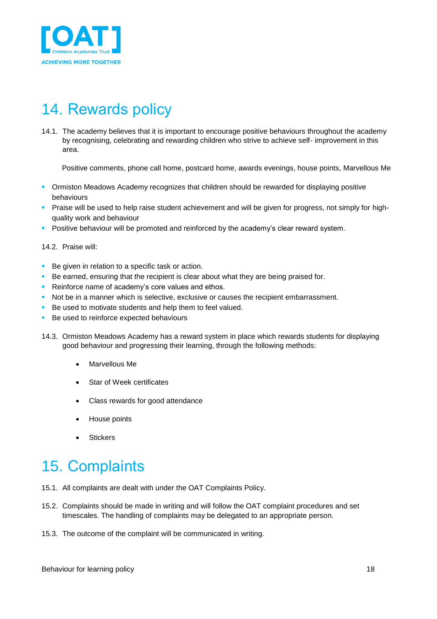

# <span id="page-17-0"></span>14. Rewards policy

14.1. The academy believes that it is important to encourage positive behaviours throughout the academy by recognising, celebrating and rewarding children who strive to achieve self- improvement in this area.

Positive comments, phone call home, postcard home, awards evenings, house points, Marvellous Me

- Ormiston Meadows Academy recognizes that children should be rewarded for displaying positive behaviours
- Praise will be used to help raise student achievement and will be given for progress, not simply for highquality work and behaviour
- **Positive behaviour will be promoted and reinforced by the academy's clear reward system.**

#### 14.2. Praise will:

- Be given in relation to a specific task or action.
- Be earned, ensuring that the recipient is clear about what they are being praised for.
- Reinforce name of academy's core values and ethos.
- Not be in a manner which is selective, exclusive or causes the recipient embarrassment.
- Be used to motivate students and help them to feel valued.
- Be used to reinforce expected behaviours
- 14.3. Ormiston Meadows Academy has a reward system in place which rewards students for displaying good behaviour and progressing their learning, through the following methods:
	- Marvellous Me
	- Star of Week certificates
	- Class rewards for good attendance
	- House points
	- **Stickers**

# <span id="page-17-1"></span>15. Complaints

- 15.1. All complaints are dealt with under the OAT Complaints Policy.
- 15.2. Complaints should be made in writing and will follow the OAT complaint procedures and set timescales. The handling of complaints may be delegated to an appropriate person.
- 15.3. The outcome of the complaint will be communicated in writing.